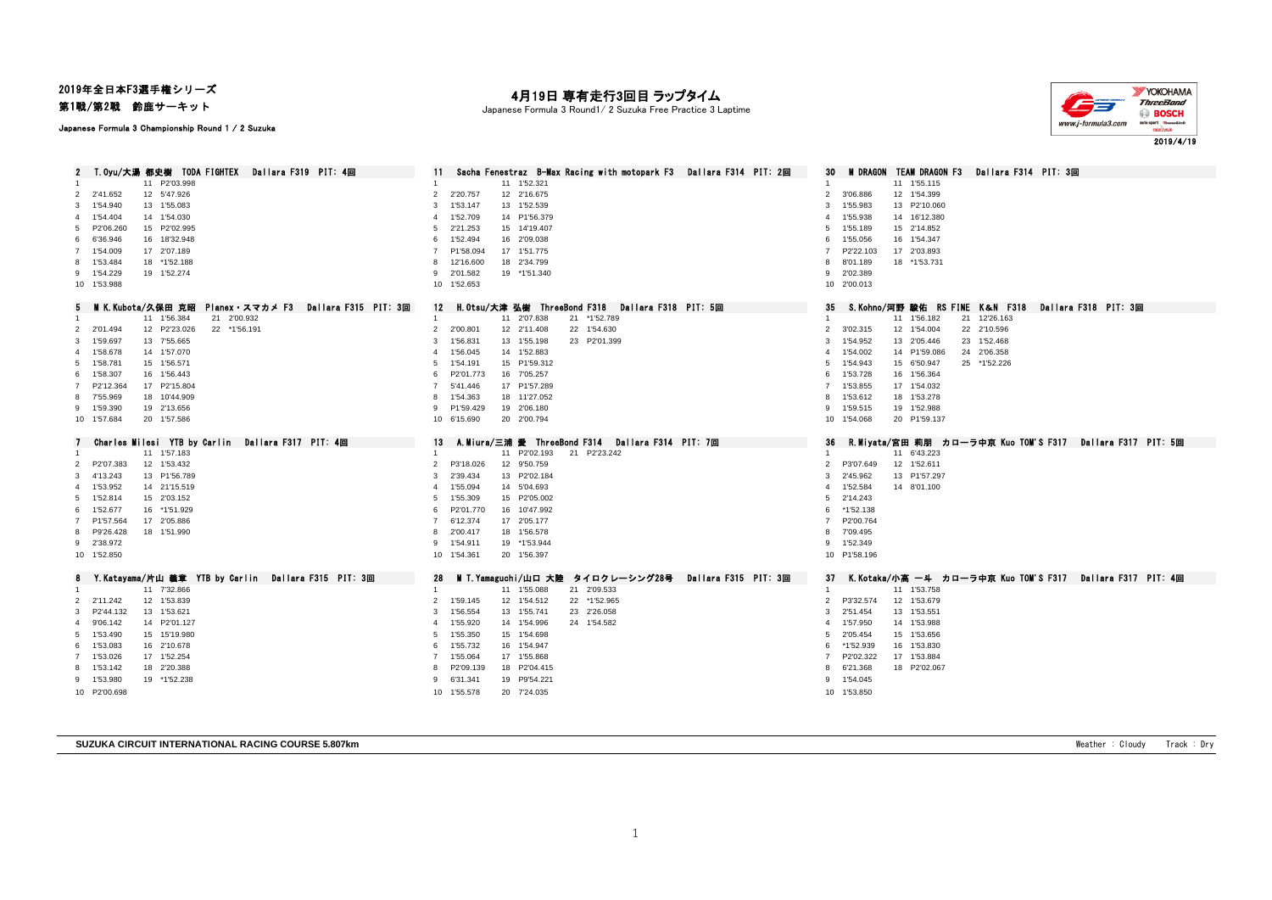## 2019年全日本F3選手権シリーズ

Japanese Formula 3 Championship Round 1 / 2 Suzuka

第1戦/第2戦 鈴鹿サーキット

## 月19日 専有走行3回目 ラップタイム

Japanese Formula 3 Round1/ 2 Suzuka Free Practice 3 Laptime



2019/4/19

2 T.Oyu/大湯 都史榭 TODA FIGHTEX Dallara F319 PIT: 4回 11 Sacha Fenestraz B-Max Racing with motopark F3 Dallara F314 PIT: 2回 30 M DRAGON TEAM DRAGON F3 Dallara F314 PIT: 3回 11 P2'03.998 1 11 1'52.321 1 11 1'55.115 2'41.652 12 5'47.926 2 2'20.757 12 2'16.675 2 3'06.886 12 1'54.399 1'54.940 13 1'55.083 3 1'53.147 13 1'52.539 3 1'55.983 13 P2'10.060 1'54.404 14 1'54.030 4 1'52.709 14 P1'56.379 4 1'55.938 14 16'12.380 P2'06.260 15 P2'02.995 5 2'21.253 15 14'19.407 5 1'55.189 15 2'14.852 6'36.946 16 18'32.948 6 1'52.494 16 2'09.038 6 1'55.056 16 1'54.347 1'54.009 17 2'07.189 7 P1'58.094 17 1'51.775 7 P2'22.103 17 2'03.893 1'53.484 18 \*1'52.188 8 12'16.600 18 2'34.799 8 8'01.189 18 \*1'53.731 1'54.229 19 1'52.274 9 2'01.582 19 \*1'51.340 9 2'02.389 1'53.988 10 1'52.653 10 2'00.013 5 M K.Kubota/久保田 克昭 Planex・スマカメ F3 Dallara F315 PIT: 3回 12 H.Otsu/大津 弘樹 ThreeBond F318 Dallara F318 PIT: 5回 35 S.Kohno/河野 駿佑 RS FINE K&N F318 Dallara F318 PIT: 3回<br>1 11 156182 21 12/60932 21 200932 11 1'56.384 21 2'00.932 1 11 2'07.838 21 \*1'52.789 1 11 1'56.182 21 12'26.163 2'01.494 12 P2'23.026 22 \*1'56.191 2 2'00.801 12 2'11.408 22 1'54.630 2 3'02.315 12 1'54.004 22 2'10.596 1'59.697 13 7'55.665 3 1'56.831 13 1'55.198 23 P2'01.399 3 1'54.952 13 2'05.446 23 1'52.468 1'58.678 14 1'57.070 4 1'56.045 14 1'52.883 4 1'54.002 14 P1'59.086 24 2'06.358 1'58.781 15 1'56.571 5 1'54.191 15 P1'59.312 5 1'54.943 15 6'50.947 25 \*1'52.226 1'58.307 16 1'56.443 6 P2'01.773 16 7'05.257 6 1'53.728 16 1'56.364 P2'12.364 17 P2'15.804 7 5'41.446 17 P1'57.289 7 1'53.855 17 1'54.032 7'55.969 18 10'44.909 8 1'54.363 18 11'27.052 8 1'53.612 18 1'53.278 1'59.390 19 2'13.656 9 P1'59.429 19 2'06.180 9 1'59.515 19 1'52.988 1'57.684 20 1'57.586 10 6'15.690 20 2'00.794 10 1'54.068 20 P1'59.137 7 Charles Milesi YTB by Carlin Dallara F317 PIT: 4回 13 A.Miura/三浦 愛 ThreeBond F314 Dallara F314 PIT: 7回 36 R.Miyata/宮田 莉朋 カローラ中京 Kuo TOM'S F317 Dallara F317 PIT: 5回 11 1'57.183 1 11 P2'02.193 21 P2'23.242 1 11 6'43.223 P2'07.383 12 1'53.432 2 P3'18.026 12 9'50.759 2 P3'07.649 12 1'52.611 4'13.243 13 P1'56.789 3 2'39.434 13 P2'02.184 3 2'45.962 13 P1'57.297 1'53.952 14 21'15.519 4 1'55.094 14 5'04.693 4 1'52.584 14 8'01.100 1'52.814 15 2'03.152 5 1'55.309 15 P2'05.002 5 2'14.243 1'52.677 16 \*1'51.929 6 P2'01.770 16 10'47.992 6 \*1'52.138 P1'57.564 17 2'05.886 7 6'12.374 17 2'05.177 7 P2'00.764 P9'26.428 18 1'51.990 8 2'00.417 18 1'56.578 8 7'09.495 2'38.972 9 1'54.911 19 \*1'53.944 9 1'52.349 1'52.850 10 1'54.361 20 1'56.397 10 P1'58.196 Y.Katayama/片山 義章 YTB by Carlin Dallara F315 PIT: 3回 28 M T.Yamaguchi/山口 大陸 タイロクレーシング28号 Dallara F315 PIT: 3回 37 K.Kotaka/小高 一斗 カローラ中京 Kuo TOM'S F317 Dallara F317 PIT: 4回 11 7'32.866 1 11 1'55.088 21 2'09.533 1 11 1'53.758 2'11.242 12 1'53.839 2 1'59.145 12 1'54.512 22 \*1'52.965 2 P3'32.574 12 1'53.679 P2'44.132 13 1'53.621 3 1'56.554 13 1'55.741 23 2'26.058 3 2'51.454 13 1'53.551 9'06.142 14 P2'01.127 4 1'55.920 14 1'54.996 24 1'54.582 4 1'57.950 14 1'53.988 1'53.490 15 15'19.980 5 1'55.350 15 1'54.698 5 2'05.454 15 1'53.656 1'53.083 16 2'10.678 6 1'55.732 16 1'54.947 6 \*1'52.939 16 1'53.830 1'53.026 17 1'52.254 7 1'55.064 17 1'55.868 7 P2'02.322 17 1'53.884 1'53.142 18 2'20.388 8 P2'09.139 18 P2'04.415 8 6'21.368 18 P2'02.067 1'53.980 19 \*1'52.238 9 6'31.341 19 P9'54.221 9 1'54.045 P2'00.698 10 1'55.578 20 7'24.035 10 1'53.850

**SUZUKA CIRCUIT INTERNATIONAL RACING COURSE 5.807km SUZUKA CIRCUIT INTERNATIONAL RACING COURSE 5.807km Weather : Cloudy Track : Dry**